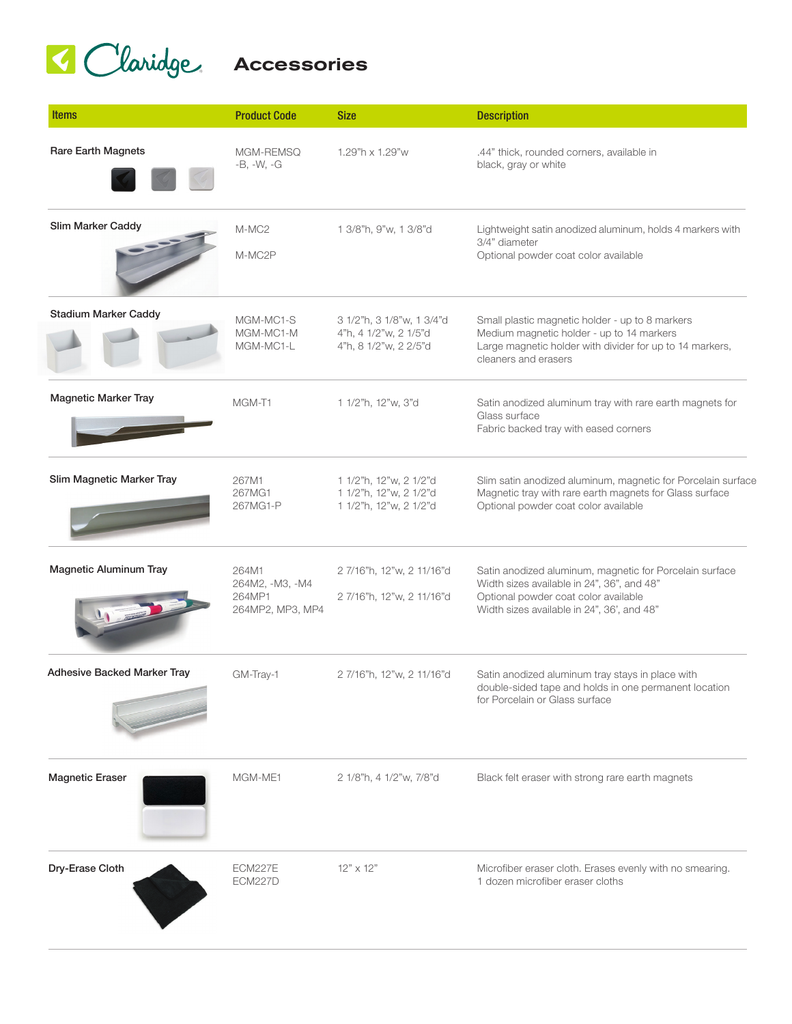## Glaridge Accessories

| <b>Items</b>                       | <b>Product Code</b>                                    | <b>Size</b>                                                                 | <b>Description</b>                                                                                                                                                                          |
|------------------------------------|--------------------------------------------------------|-----------------------------------------------------------------------------|---------------------------------------------------------------------------------------------------------------------------------------------------------------------------------------------|
| Rare Earth Magnets                 | MGM-REMSQ<br>$-B, -W, -G$                              | 1.29"h x 1.29"w                                                             | .44" thick, rounded corners, available in<br>black, gray or white                                                                                                                           |
| Slim Marker Caddy                  | M-MC <sub>2</sub><br>M-MC2P                            | 1 3/8"h, 9"w, 1 3/8"d                                                       | Lightweight satin anodized aluminum, holds 4 markers with<br>3/4" diameter<br>Optional powder coat color available                                                                          |
| <b>Stadium Marker Caddy</b>        | MGM-MC1-S<br>MGM-MC1-M<br>MGM-MC1-L                    | 3 1/2"h, 3 1/8"w, 1 3/4"d<br>4"h, 4 1/2"w, 2 1/5"d<br>4"h, 8 1/2"w, 2 2/5"d | Small plastic magnetic holder - up to 8 markers<br>Medium magnetic holder - up to 14 markers<br>Large magnetic holder with divider for up to 14 markers,<br>cleaners and erasers            |
| <b>Magnetic Marker Tray</b>        | MGM-T1                                                 | 1 1/2"h, 12"w, 3"d                                                          | Satin anodized aluminum tray with rare earth magnets for<br>Glass surface<br>Fabric backed tray with eased corners                                                                          |
| Slim Magnetic Marker Tray          | 267M1<br>267MG1<br>267MG1-P                            | 1 1/2"h, 12"w, 2 1/2"d<br>1 1/2"h, 12"w, 2 1/2"d<br>1 1/2"h, 12"w, 2 1/2"d  | Slim satin anodized aluminum, magnetic for Porcelain surface<br>Magnetic tray with rare earth magnets for Glass surface<br>Optional powder coat color available                             |
| <b>Magnetic Aluminum Tray</b>      | 264M1<br>264M2, -M3, -M4<br>264MP1<br>264MP2, MP3, MP4 | 27/16"h, 12"w, 211/16"d<br>27/16"h, 12"w, 211/16"d                          | Satin anodized aluminum, magnetic for Porcelain surface<br>Width sizes available in 24", 36", and 48"<br>Optional powder coat color available<br>Width sizes available in 24", 36', and 48" |
| <b>Adhesive Backed Marker Tray</b> | GM-Tray-1                                              | 27/16"h, 12"w, 211/16"d                                                     | Satin anodized aluminum tray stays in place with<br>double-sided tape and holds in one permanent location<br>for Porcelain or Glass surface                                                 |
| <b>Magnetic Eraser</b>             | MGM-ME1                                                | 2 1/8"h, 4 1/2"w, 7/8"d                                                     | Black felt eraser with strong rare earth magnets                                                                                                                                            |
| Dry-Erase Cloth                    | <b>ECM227E</b><br>ECM227D                              | $12" \times 12"$                                                            | Microfiber eraser cloth. Erases evenly with no smearing.<br>1 dozen microfiber eraser cloths                                                                                                |